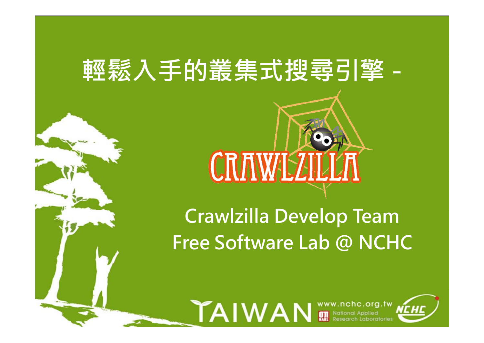### **輕鬆入手的叢集式搜尋引擎 -**



**C l ill D l T Crawlzilla Develop Team Free Software Lab @ NCHC**

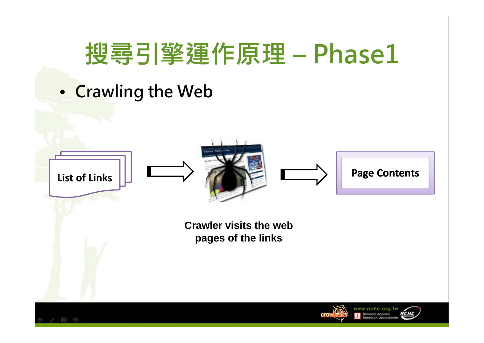#### **搜尋引擎運作原理 Phase1**

•**Crawling the Web**





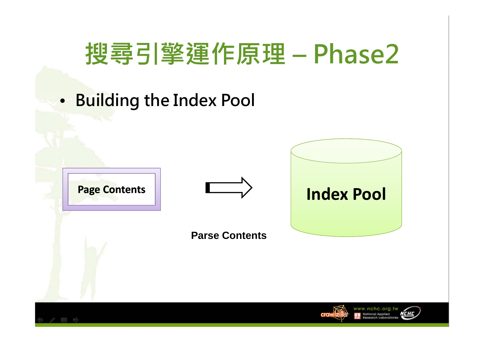#### 搜尋引擎運作原理 - Phase2

#### · Building the Index Pool





#### **Parse Contents**





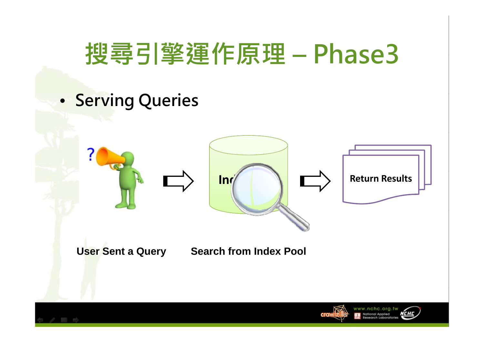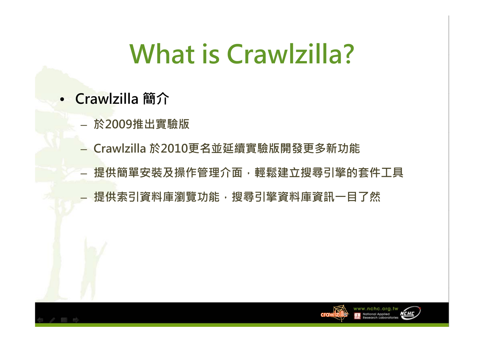# **What is Crawlzilla?**

- **C l ill Crawlzilla 簡介**
	- **於2009推出實驗版**
	- **Crawlzilla 於2010更名並延續實驗版開發更多新功能**
	- **提供簡單安裝及操作管理介面,輕鬆建立搜尋引擎的套件工具**
	- **提供索引資料庫瀏覽功能,搜尋引擎資料庫資訊一目了然**



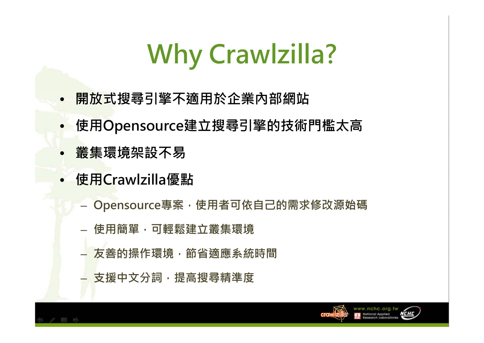# **Why Crawlzilla?**

- **開放式搜尋引擎不適用於企業內部網站**
- **使用O pensource建立搜尋引擎的技術門檻太高**
- **叢集環境架設不易**
- • **使用Crawlzilla優點**
	- Opensource專案,使用者可依自己的需求修改源始碼
	- **使用簡單,可輕鬆建立叢集環境**
	- **友善的操作環境,節省適應系統時間**
	- **支援中文分詞,提高搜尋精準度**

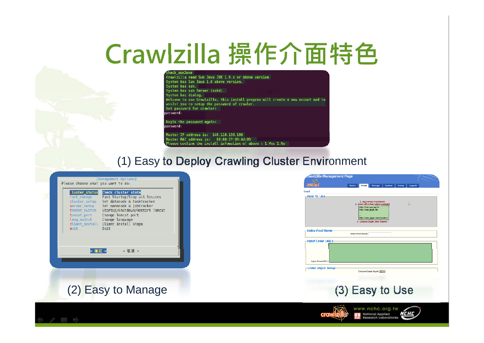## **Crawlzilla 操作介面特色**

#### chack ennlava

Crawlzilla need Sun Java JDK 1.6.x or above version System has Sun Java 1.6 above version. System has ssh. **System has ssh Server (sshd).** .<br>Wstem has dialog. .<br>Welcome to use Crawlzilla, this install program will create a new accunt and to assist you to setup the password of crawler. Set password for crawler: password: keyin the password again:

password:

Master IP address is: 140.110.138.186 Master MAC address is: 08:00:27:99:4d:09 Please confirm the install infomation of above: 1.Yes 2.No

#### (1) Easy to Deploy Crawling Cluster Environment

| [Management Options]<br>Please choose what you want to do:<br>Check cluster state<br>cluster_status<br>Fast Startup/Stop all Sevices<br>fast manage<br>Set datanode & tasktracker<br>cluster setup<br>Set namenode & jobtracker<br>server setup<br>Startup/Shutdown/Restart Tomcat<br>tomcat switch<br>Change Tomcat port<br>tomcat port<br>lang switch<br>Change language<br>client_install<br>Client Install Steps<br>exit<br>Exit | rawiZilla Management Page<br>owninin<br>Crawl Manage System Setup Logout<br>Home<br>Crawl<br><b>How To Use</b><br>1. Input Index Pool Name<br>2. Input URLs (see below example)<br>http://www.nchc.org.tw<br>http://www.gccds.com<br>http://code.gogle.com/p/subbaz/<br>3. Choose Depth, then Submit! |
|--------------------------------------------------------------------------------------------------------------------------------------------------------------------------------------------------------------------------------------------------------------------------------------------------------------------------------------------------------------------------------------------------------------------------------------|-------------------------------------------------------------------------------------------------------------------------------------------------------------------------------------------------------------------------------------------------------------------------------------------------------|
| <確定 ><br>< 取消 >                                                                                                                                                                                                                                                                                                                                                                                                                      | <b>Index Pool Name</b><br><b>Index Pool Name</b><br><b>-Input Crawl URLs-</b><br>Innut CrawLIRL<br>-Crawl Depth Setup-<br>Choose Crawl Depth (1 x)                                                                                                                                                    |
| (2) Easy to Manage                                                                                                                                                                                                                                                                                                                                                                                                                   | (3) Easy to Use                                                                                                                                                                                                                                                                                       |
|                                                                                                                                                                                                                                                                                                                                                                                                                                      | www.nchc.org.tw<br>NCHC<br>National Applied<br>cra<br>Research Laboratories                                                                                                                                                                                                                           |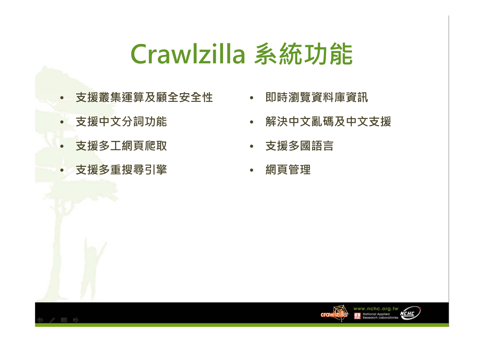### **Crawlzilla 系統功能**

- **支援叢集運算及顧全安全性 即時瀏覽資料庫資訊**
- **支援中文分詞功能**
- •**支援多工網頁爬取**
- **支援多重搜尋引擎**
- •
- $\bullet$ **解決中文亂碼及中文支援**
- $\bullet$ **支援多國語言**
- **網頁管理**

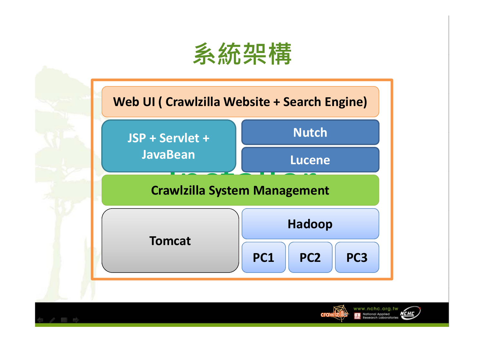





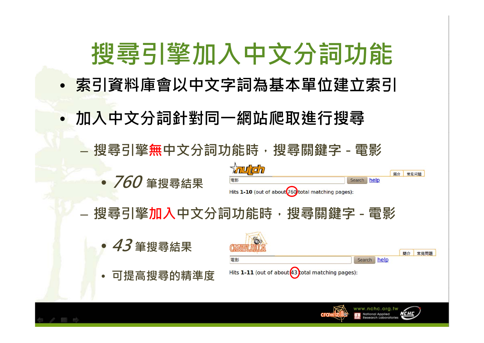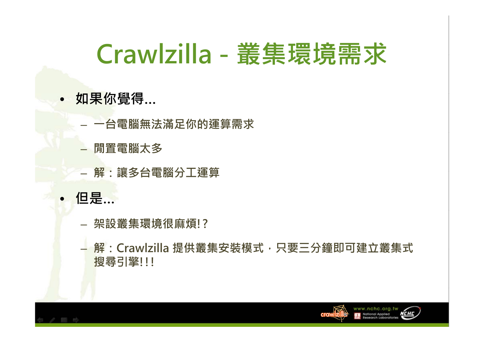## **Crawlzilla - 叢集環境需求**

- **如果你覺得…**
	- **一台電腦無法滿足你的運算需求**
	- **閒置電腦太多**
	- **解:讓多台電腦分工運算**
- **但是…**
	- **架設叢集環境很麻煩!?**

– **解:Crawlzilla Crawlzilla提供叢集安裝模式 提供叢集安裝模式,只要三分鐘即可建立叢集式 只要三分鐘即可建立叢集式 搜尋引擎!!!**